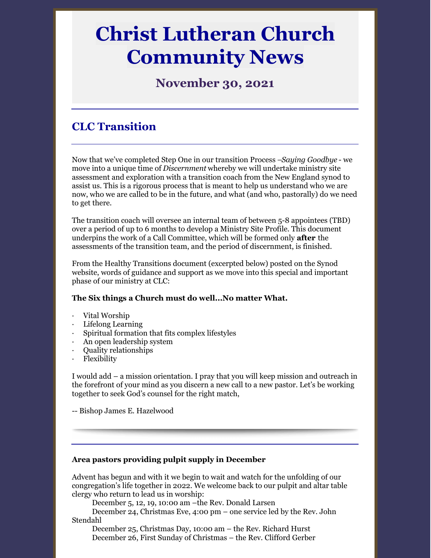# **Christ Lutheran Church Community News**

# **November 30, 2021**

# **CLC Transition**

Now that we've completed Step One in our transition Process –*Saying Goodbye* - we move into a unique time of *Discernment* whereby we will undertake ministry site assessment and exploration with a transition coach from the New England synod to assist us. This is a rigorous process that is meant to help us understand who we are now, who we are called to be in the future, and what (and who, pastorally) do we need to get there.

The transition coach will oversee an internal team of between 5-8 appointees (TBD) over a period of up to 6 months to develop a Ministry Site Profile. This document underpins the work of a Call Committee, which will be formed only **after** the assessments of the transition team, and the period of discernment, is finished.

From the Healthy Transitions document (excerpted below) posted on the Synod website, words of guidance and support as we move into this special and important phase of our ministry at CLC:

#### **The Six things a Church must do well...No matter What.**

- Vital Worship
- · Lifelong Learning
- Spiritual formation that fits complex lifestyles
- · An open leadership system
- · Quality relationships
- **Flexibility**

I would add – a mission orientation. I pray that you will keep mission and outreach in the forefront of your mind as you discern a new call to a new pastor. Let's be working together to seek God's counsel for the right match,

-- Bishop James E. Hazelwood

#### **Area pastors providing pulpit supply in December**

Advent has begun and with it we begin to wait and watch for the unfolding of our congregation's life together in 2022. We welcome back to our pulpit and altar table clergy who return to lead us in worship:

December 5, 12, 19, 10:00 am –the Rev. Donald Larsen

December 24, Christmas Eve, 4:00 pm – one service led by the Rev. John Stendahl

December 25, Christmas Day, 10:00 am – the Rev. Richard Hurst December 26, First Sunday of Christmas – the Rev. Clifford Gerber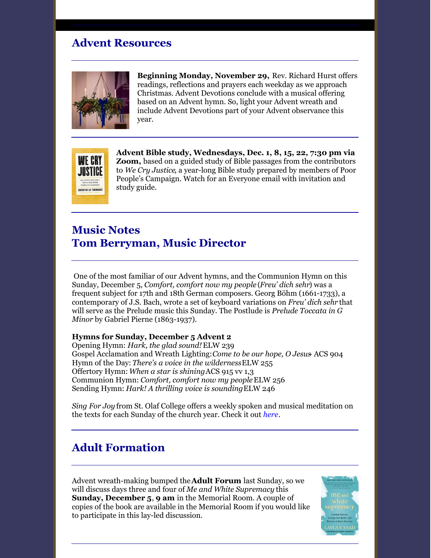## **Advent Resources**



**Beginning Monday, November 29,** Rev. Richard Hurst offers readings, reflections and prayers each weekday as we approach Christmas. Advent Devotions conclude with a musical offering based on an Advent hymn. So, light your Advent wreath and include Advent Devotions part of your Advent observance this year.



**Advent Bible study, Wednesdays, Dec. 1, 8, 15, 22, 7:30 pm via Zoom,** based on a guided study of Bible passages from the contributors to *We Cry Justice*, a year-long Bible study prepared by members of Poor People's Campaign. Watch for an Everyone email with invitation and study guide.

## **Music Notes Tom Berryman, Music Director**

One of the most familiar of our Advent hymns, and the Communion Hymn on this Sunday, December 5, *Comfort, comfort now my people* (*Freu' dich sehr*) was a frequent subject for 17th and 18th German composers. Georg Böhm (1661-1733), a contemporary of J.S. Bach, wrote a set of keyboard variations on *Freu' dich sehr* that will serve as the Prelude music this Sunday. The Postlude is *Prelude Toccata in G Minor* by Gabriel Pierne (1863-1937).

#### **Hymns for Sunday, December 5 Advent 2**

Opening Hymn: *Hark, the glad sound!* ELW 239 Gospel Acclamation and Wreath Lighting:*Come to be our hope, O Jesus*- ACS 904 Hymn of the Day: *There's a voice in the wilderness*ELW 255 Offertory Hymn: *When a star is shining*ACS 915 vv 1,3 Communion Hymn: *Comfort, comfort now my people*ELW 256 Sending Hymn: *Hark! A thrilling voice is sounding*ELW 246

*Sing For Joy* from St. Olaf College offers a weekly spoken and musical meditation on the texts for each Sunday of the church year. Check it out *[here](https://www.stolaf.edu/singforjoy/)*.

## **Adult Formation**

Advent wreath-making bumped the**Adult Forum** last Sunday, so we will discuss days three and four of *Me and White Supremacy* this **Sunday, December 5**, **9 am** in the Memorial Room. A couple of copies of the book are available in the Memorial Room if you would like to participate in this lay-led discussion.

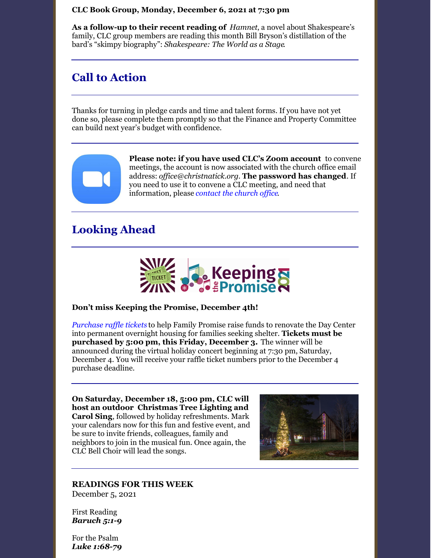#### **CLC Book Group, Monday, December 6, 2021 at 7:30 pm**

**As a follow-up to their recent reading of** *Hamnet*, a novel about Shakespeare's family, CLC group members are reading this month Bill Bryson's distillation of the bard's "skimpy biography": *Shakespeare: The World as a Stage*.

### **Call to Action**

Thanks for turning in pledge cards and time and talent forms. If you have not yet done so, please complete them promptly so that the Finance and Property Committee can build next year's budget with confidence.



**Please note: if you have used CLC's Zoom account** to convene meetings, the account is now associated with the church office email address: *of [ice@christnatick.org](mailto:office@christnatick.org)*. **The password has changed**. If you need to use it to convene a CLC meeting, and need that information, please *[contact](mailto:christnatick@gmail.com) the church of ice*.

## **Looking Ahead**



#### **Don't miss Keeping the Promise, December 4th!**

*[Purchase](https://familypromisemetrowest.salsalabs.org/keepingthepromiseraffle2021/index.html) raffle tickets* to help Family Promise raise funds to renovate the Day Center into permanent overnight housing for families seeking shelter. **Tickets must be purchased by 5:00 pm, this Friday, December 3.** The winner will be announced during the virtual holiday concert beginning at 7:30 pm, Saturday, December 4. You will receive your raffle ticket numbers prior to the December 4 purchase deadline.

**On Saturday, December 18, 5:00 pm, CLC will host an outdoor Christmas Tree Lighting and Carol Sing**, followed by holiday refreshments. Mark your calendars now for this fun and festive event, and be sure to invite friends, colleagues, family and neighbors to join in the musical fun. Once again, the CLC Bell Choir will lead the songs.



#### **READINGS FOR THIS WEEK**

December 5, 2021

First Reading *Baruch 5:1-9*

For the Psalm *Luke 1:68-79*